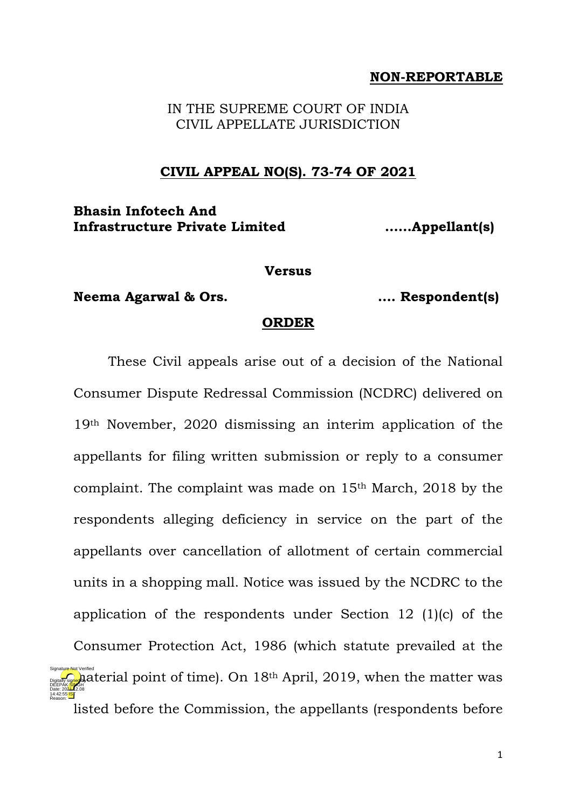## **NON-REPORTABLE**

IN THE SUPREME COURT OF INDIA CIVIL APPELLATE JURISDICTION

### **CIVIL APPEAL NO(S). 73-74 OF 2021**

## **Bhasin Infotech And Infrastructure Private Limited ……Appellant(s)**

#### **Versus**

**Neema Agarwal & Ors. …. Respondent(s)**

Reason:

#### **ORDER**

These Civil appeals arise out of a decision of the National Consumer Dispute Redressal Commission (NCDRC) delivered on 19th November, 2020 dismissing an interim application of the appellants for filing written submission or reply to a consumer complaint. The complaint was made on 15th March, 2018 by the respondents alleging deficiency in service on the part of the appellants over cancellation of allotment of certain commercial units in a shopping mall. Notice was issued by the NCDRC to the application of the respondents under Section 12 (1)(c) of the Consumer Protection Act, 1986 (which statute prevailed at the  $\frac{1}{20}$  aterial point of time). On 18<sup>th</sup> April, 2019, when the matter was listed before the Commission, the appellants (respondents before DEEPAK<mark>/SIN</mark>GH Date: 2024.12.08 14:42:55 IST Signature Not Verified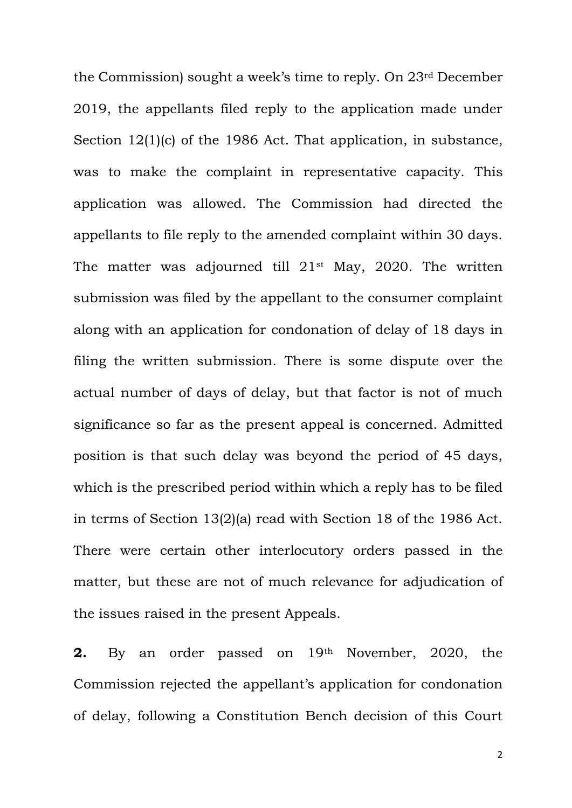the Commission) sought a week's time to reply. On 23rd December 2019, the appellants filed reply to the application made under Section 12(1)(c) of the 1986 Act. That application, in substance, was to make the complaint in representative capacity. This application was allowed. The Commission had directed the appellants to file reply to the amended complaint within 30 days. The matter was adjourned till  $21^{st}$  May, 2020. The written submission was filed by the appellant to the consumer complaint along with an application for condonation of delay of 18 days in filing the written submission. There is some dispute over the actual number of days of delay, but that factor is not of much significance so far as the present appeal is concerned. Admitted position is that such delay was beyond the period of 45 days, which is the prescribed period within which a reply has to be filed in terms of Section 13(2)(a) read with Section 18 of the 1986 Act. There were certain other interlocutory orders passed in the matter, but these are not of much relevance for adjudication of the issues raised in the present Appeals.

**2.** By an order passed on 19<sup>th</sup> November, 2020, the Commission rejected the appellant's application for condonation of delay, following a Constitution Bench decision of this Court

2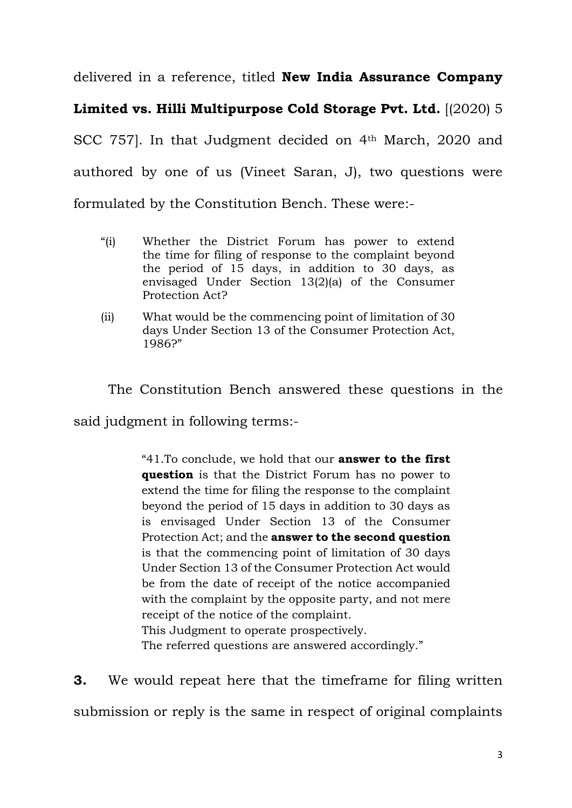delivered in a reference, titled **New India Assurance Company** 

# **Limited vs. Hilli Multipurpose Cold Storage Pvt. Ltd.** [(2020) 5

SCC 757]. In that Judgment decided on 4<sup>th</sup> March, 2020 and authored by one of us (Vineet Saran, J), two questions were formulated by the Constitution Bench. These were:-

- "(i) Whether the District Forum has power to extend the time for filing of response to the complaint beyond the period of 15 days, in addition to 30 days, as envisaged Under Section 13(2)(a) of the Consumer Protection Act?
- (ii) What would be the commencing point of limitation of 30 days Under Section 13 of the Consumer Protection Act, 1986?"

The Constitution Bench answered these questions in the

said judgment in following terms:-

"41.To conclude, we hold that our **answer to the first question** is that the District Forum has no power to extend the time for filing the response to the complaint beyond the period of 15 days in addition to 30 days as is envisaged Under Section 13 of the Consumer Protection Act; and the **answer to the second question** is that the commencing point of limitation of 30 days Under Section 13 of the Consumer Protection Act would be from the date of receipt of the notice accompanied with the complaint by the opposite party, and not mere receipt of the notice of the complaint. This Judgment to operate prospectively. The referred questions are answered accordingly."

**3.** We would repeat here that the timeframe for filing written submission or reply is the same in respect of original complaints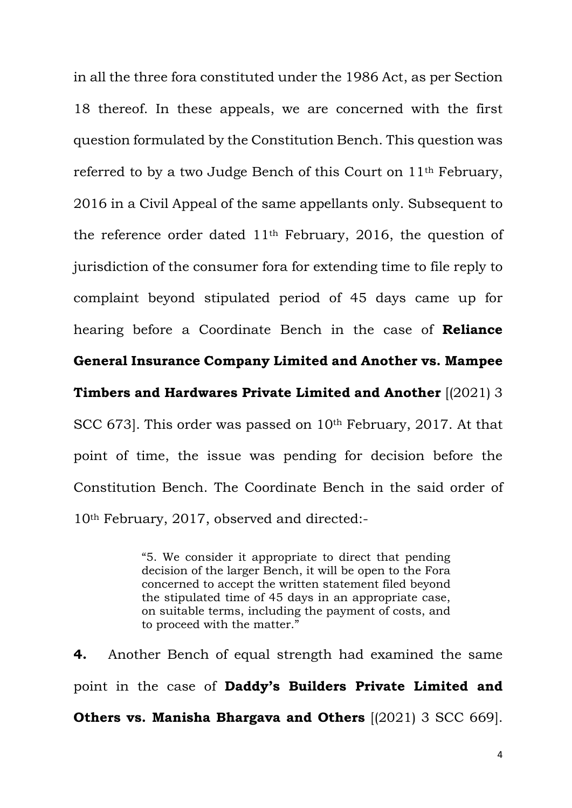in all the three fora constituted under the 1986 Act, as per Section 18 thereof. In these appeals, we are concerned with the first question formulated by the Constitution Bench. This question was referred to by a two Judge Bench of this Court on 11th February, 2016 in a Civil Appeal of the same appellants only. Subsequent to the reference order dated 11th February, 2016, the question of jurisdiction of the consumer fora for extending time to file reply to complaint beyond stipulated period of 45 days came up for hearing before a Coordinate Bench in the case of **Reliance** 

## **General Insurance Company Limited and Another vs. Mampee**

**Timbers and Hardwares Private Limited and Another** [(2021) 3

SCC 673]. This order was passed on 10<sup>th</sup> February, 2017. At that point of time, the issue was pending for decision before the Constitution Bench. The Coordinate Bench in the said order of 10th February, 2017, observed and directed:-

> "5. We consider it appropriate to direct that pending decision of the larger Bench, it will be open to the Fora concerned to accept the written statement filed beyond the stipulated time of 45 days in an appropriate case, on suitable terms, including the payment of costs, and to proceed with the matter."

**4.** Another Bench of equal strength had examined the same point in the case of **Daddy's Builders Private Limited and Others vs. Manisha Bhargava and Others** [(2021) 3 SCC 669].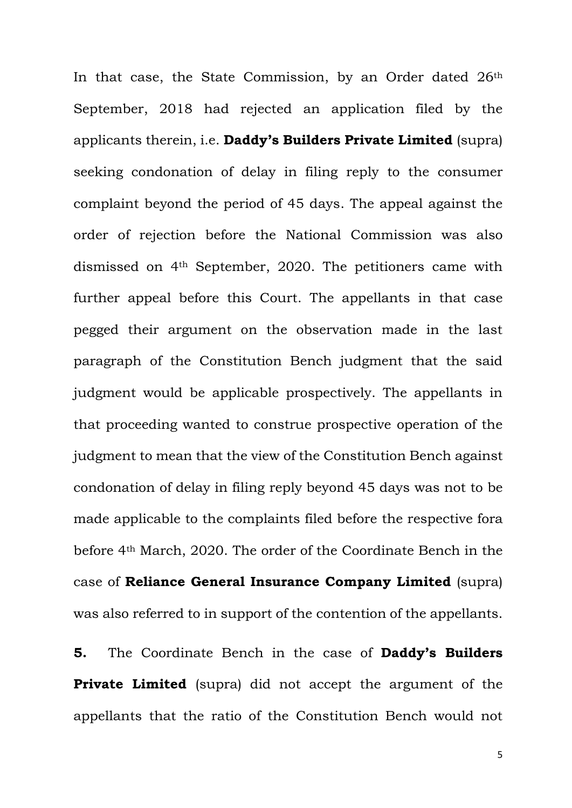In that case, the State Commission, by an Order dated 26<sup>th</sup> September, 2018 had rejected an application filed by the applicants therein, i.e. **Daddy's Builders Private Limited** (supra) seeking condonation of delay in filing reply to the consumer complaint beyond the period of 45 days. The appeal against the order of rejection before the National Commission was also dismissed on 4th September, 2020. The petitioners came with further appeal before this Court. The appellants in that case pegged their argument on the observation made in the last paragraph of the Constitution Bench judgment that the said judgment would be applicable prospectively. The appellants in that proceeding wanted to construe prospective operation of the judgment to mean that the view of the Constitution Bench against condonation of delay in filing reply beyond 45 days was not to be made applicable to the complaints filed before the respective fora before 4th March, 2020. The order of the Coordinate Bench in the case of **Reliance General Insurance Company Limited** (supra) was also referred to in support of the contention of the appellants.

**5.** The Coordinate Bench in the case of **Daddy's Builders Private Limited** (supra) did not accept the argument of the appellants that the ratio of the Constitution Bench would not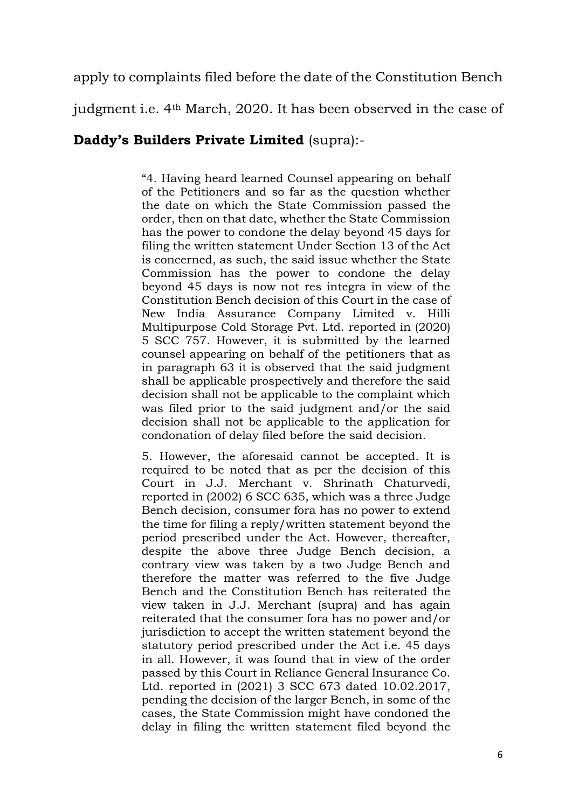apply to complaints filed before the date of the Constitution Bench

judgment i.e. 4th March, 2020. It has been observed in the case of

## **Daddy's Builders Private Limited** (supra):-

"4. Having heard learned Counsel appearing on behalf of the Petitioners and so far as the question whether the date on which the State Commission passed the order, then on that date, whether the State Commission has the power to condone the delay beyond 45 days for filing the written statement Under Section 13 of the Act is concerned, as such, the said issue whether the State Commission has the power to condone the delay beyond 45 days is now not res integra in view of the Constitution Bench decision of this Court in the case of New India Assurance Company Limited v. Hilli Multipurpose Cold Storage Pvt. Ltd. reported in (2020) 5 SCC 757. However, it is submitted by the learned counsel appearing on behalf of the petitioners that as in paragraph 63 it is observed that the said judgment shall be applicable prospectively and therefore the said decision shall not be applicable to the complaint which was filed prior to the said judgment and/or the said decision shall not be applicable to the application for condonation of delay filed before the said decision.

5. However, the aforesaid cannot be accepted. It is required to be noted that as per the decision of this Court in J.J. Merchant v. Shrinath Chaturvedi, reported in (2002) 6 SCC 635, which was a three Judge Bench decision, consumer fora has no power to extend the time for filing a reply/written statement beyond the period prescribed under the Act. However, thereafter, despite the above three Judge Bench decision, a contrary view was taken by a two Judge Bench and therefore the matter was referred to the five Judge Bench and the Constitution Bench has reiterated the view taken in J.J. Merchant (supra) and has again reiterated that the consumer fora has no power and/or jurisdiction to accept the written statement beyond the statutory period prescribed under the Act i.e. 45 days in all. However, it was found that in view of the order passed by this Court in Reliance General Insurance Co. Ltd. reported in (2021) 3 SCC 673 dated 10.02.2017, pending the decision of the larger Bench, in some of the cases, the State Commission might have condoned the delay in filing the written statement filed beyond the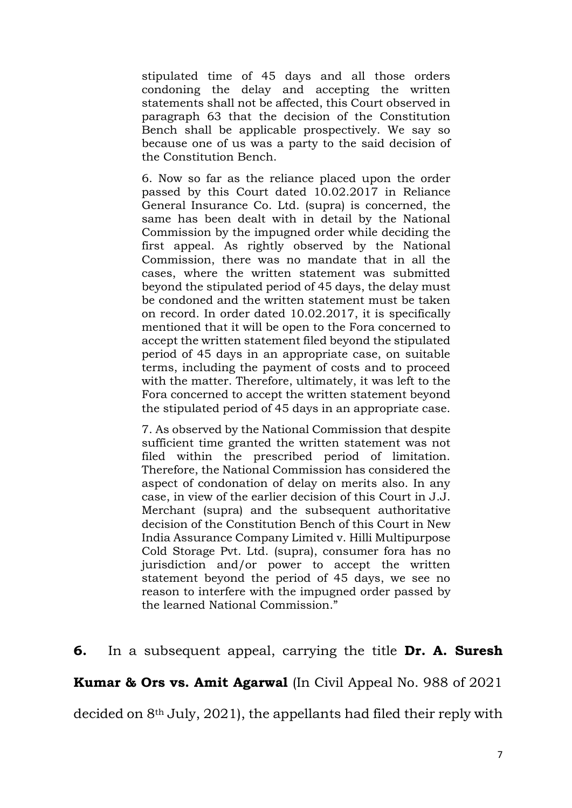stipulated time of 45 days and all those orders condoning the delay and accepting the written statements shall not be affected, this Court observed in paragraph 63 that the decision of the Constitution Bench shall be applicable prospectively. We say so because one of us was a party to the said decision of the Constitution Bench.

6. Now so far as the reliance placed upon the order passed by this Court dated 10.02.2017 in Reliance General Insurance Co. Ltd. (supra) is concerned, the same has been dealt with in detail by the National Commission by the impugned order while deciding the first appeal. As rightly observed by the National Commission, there was no mandate that in all the cases, where the written statement was submitted beyond the stipulated period of 45 days, the delay must be condoned and the written statement must be taken on record. In order dated 10.02.2017, it is specifically mentioned that it will be open to the Fora concerned to accept the written statement filed beyond the stipulated period of 45 days in an appropriate case, on suitable terms, including the payment of costs and to proceed with the matter. Therefore, ultimately, it was left to the Fora concerned to accept the written statement beyond the stipulated period of 45 days in an appropriate case.

7. As observed by the National Commission that despite sufficient time granted the written statement was not filed within the prescribed period of limitation. Therefore, the National Commission has considered the aspect of condonation of delay on merits also. In any case, in view of the earlier decision of this Court in J.J. Merchant (supra) and the subsequent authoritative decision of the Constitution Bench of this Court in New India Assurance Company Limited v. Hilli Multipurpose Cold Storage Pvt. Ltd. (supra), consumer fora has no jurisdiction and/or power to accept the written statement beyond the period of 45 days, we see no reason to interfere with the impugned order passed by the learned National Commission."

## **6.** In a subsequent appeal, carrying the title **Dr. A. Suresh**

**Kumar & Ors vs. Amit Agarwal** (In Civil Appeal No. 988 of 2021

decided on 8th July, 2021), the appellants had filed their reply with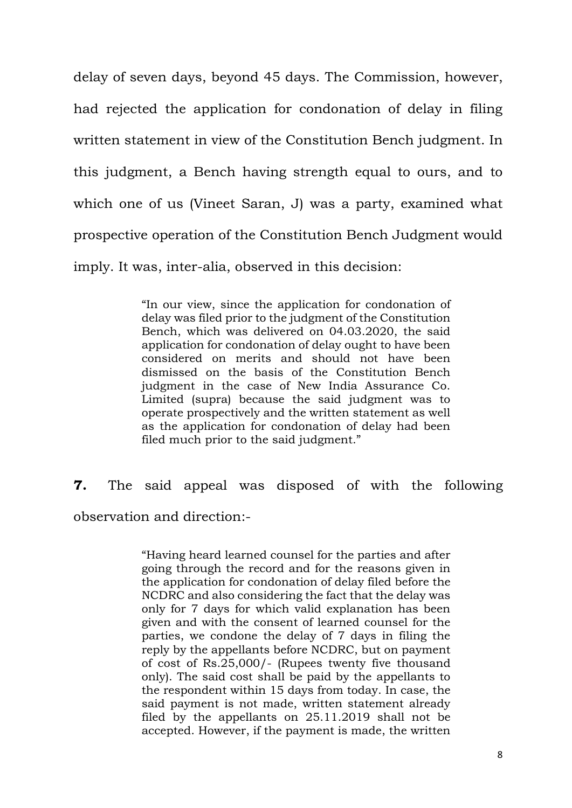delay of seven days, beyond 45 days. The Commission, however, had rejected the application for condonation of delay in filing written statement in view of the Constitution Bench judgment. In this judgment, a Bench having strength equal to ours, and to which one of us (Vineet Saran, J) was a party, examined what prospective operation of the Constitution Bench Judgment would imply. It was, inter-alia, observed in this decision:

> "In our view, since the application for condonation of delay was filed prior to the judgment of the Constitution Bench, which was delivered on 04.03.2020, the said application for condonation of delay ought to have been considered on merits and should not have been dismissed on the basis of the Constitution Bench judgment in the case of New India Assurance Co. Limited (supra) because the said judgment was to operate prospectively and the written statement as well as the application for condonation of delay had been filed much prior to the said judgment."

**7.** The said appeal was disposed of with the following observation and direction:-

> "Having heard learned counsel for the parties and after going through the record and for the reasons given in the application for condonation of delay filed before the NCDRC and also considering the fact that the delay was only for 7 days for which valid explanation has been given and with the consent of learned counsel for the parties, we condone the delay of 7 days in filing the reply by the appellants before NCDRC, but on payment of cost of Rs.25,000/- (Rupees twenty five thousand only). The said cost shall be paid by the appellants to the respondent within 15 days from today. In case, the said payment is not made, written statement already filed by the appellants on 25.11.2019 shall not be accepted. However, if the payment is made, the written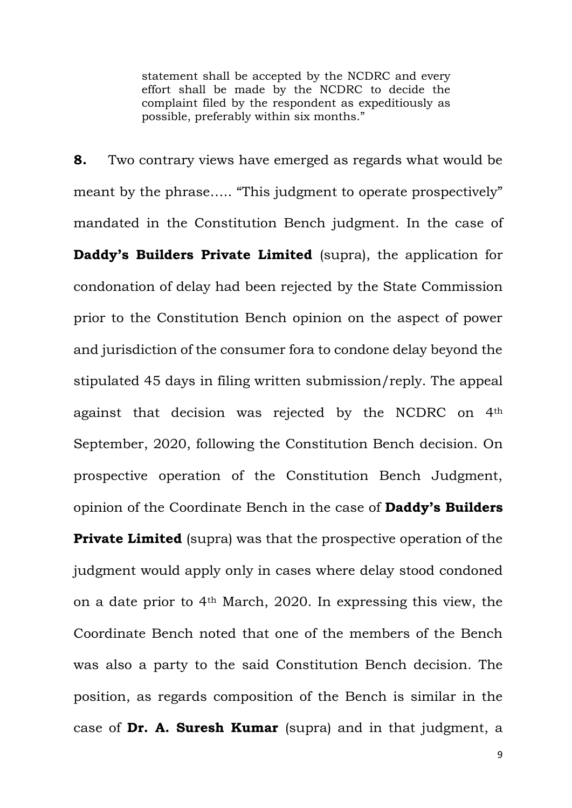statement shall be accepted by the NCDRC and every effort shall be made by the NCDRC to decide the complaint filed by the respondent as expeditiously as possible, preferably within six months."

**8.** Two contrary views have emerged as regards what would be meant by the phrase….. "This judgment to operate prospectively" mandated in the Constitution Bench judgment. In the case of **Daddy's Builders Private Limited** (supra), the application for condonation of delay had been rejected by the State Commission prior to the Constitution Bench opinion on the aspect of power and jurisdiction of the consumer fora to condone delay beyond the stipulated 45 days in filing written submission/reply. The appeal against that decision was rejected by the NCDRC on 4th September, 2020, following the Constitution Bench decision. On prospective operation of the Constitution Bench Judgment, opinion of the Coordinate Bench in the case of **Daddy's Builders Private Limited** (supra) was that the prospective operation of the

judgment would apply only in cases where delay stood condoned on a date prior to 4th March, 2020. In expressing this view, the Coordinate Bench noted that one of the members of the Bench was also a party to the said Constitution Bench decision. The position, as regards composition of the Bench is similar in the case of **Dr. A. Suresh Kumar** (supra) and in that judgment, a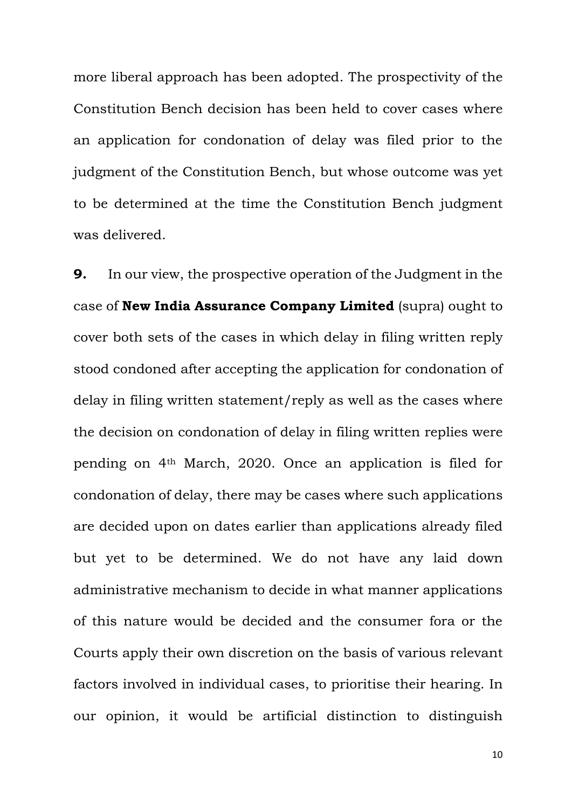more liberal approach has been adopted. The prospectivity of the Constitution Bench decision has been held to cover cases where an application for condonation of delay was filed prior to the judgment of the Constitution Bench, but whose outcome was yet to be determined at the time the Constitution Bench judgment was delivered.

**9.** In our view, the prospective operation of the Judgment in the case of **New India Assurance Company Limited** (supra) ought to cover both sets of the cases in which delay in filing written reply stood condoned after accepting the application for condonation of delay in filing written statement/reply as well as the cases where the decision on condonation of delay in filing written replies were pending on 4th March, 2020. Once an application is filed for condonation of delay, there may be cases where such applications are decided upon on dates earlier than applications already filed but yet to be determined. We do not have any laid down administrative mechanism to decide in what manner applications of this nature would be decided and the consumer fora or the Courts apply their own discretion on the basis of various relevant factors involved in individual cases, to prioritise their hearing. In our opinion, it would be artificial distinction to distinguish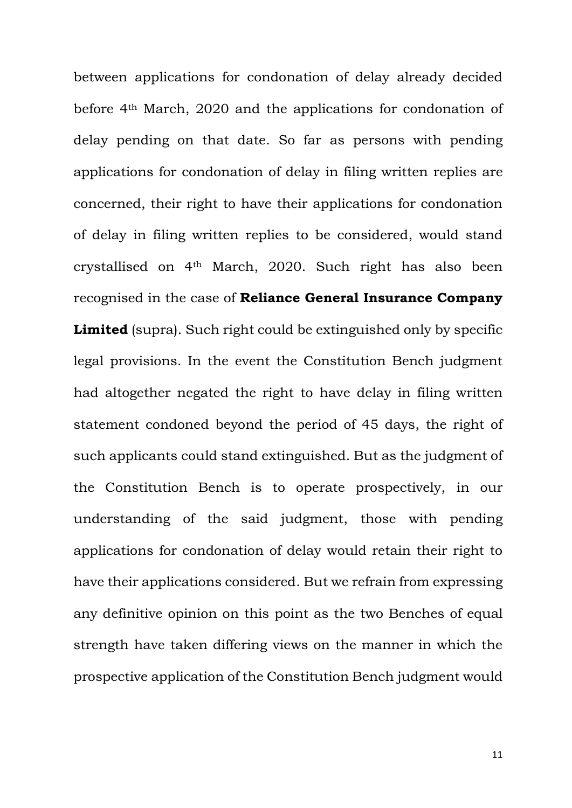between applications for condonation of delay already decided before 4th March, 2020 and the applications for condonation of delay pending on that date. So far as persons with pending applications for condonation of delay in filing written replies are concerned, their right to have their applications for condonation of delay in filing written replies to be considered, would stand crystallised on 4th March, 2020. Such right has also been recognised in the case of **Reliance General Insurance Company**  Limited (supra). Such right could be extinguished only by specific legal provisions. In the event the Constitution Bench judgment had altogether negated the right to have delay in filing written statement condoned beyond the period of 45 days, the right of such applicants could stand extinguished. But as the judgment of the Constitution Bench is to operate prospectively, in our understanding of the said judgment, those with pending applications for condonation of delay would retain their right to have their applications considered. But we refrain from expressing any definitive opinion on this point as the two Benches of equal strength have taken differing views on the manner in which the prospective application of the Constitution Bench judgment would